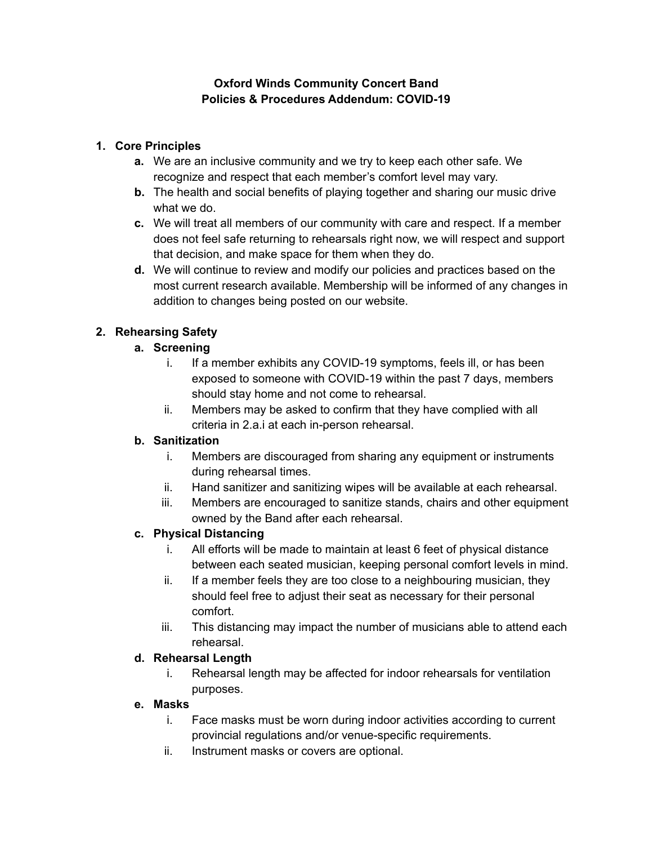### **Oxford Winds Community Concert Band Policies & Procedures Addendum: COVID-19**

# **1. Core Principles**

- **a.** We are an inclusive community and we try to keep each other safe. We recognize and respect that each member's comfort level may vary.
- **b.** The health and social benefits of playing together and sharing our music drive what we do.
- **c.** We will treat all members of our community with care and respect. If a member does not feel safe returning to rehearsals right now, we will respect and support that decision, and make space for them when they do.
- **d.** We will continue to review and modify our policies and practices based on the most current research available. Membership will be informed of any changes in addition to changes being posted on our website.

## **2. Rehearsing Safety**

## **a. Screening**

- i. If a member exhibits any COVID-19 symptoms, feels ill, or has been exposed to someone with COVID-19 within the past 7 days, members should stay home and not come to rehearsal.
- ii. Members may be asked to confirm that they have complied with all criteria in 2.a.i at each in-person rehearsal.

### **b. Sanitization**

- i. Members are discouraged from sharing any equipment or instruments during rehearsal times.
- ii. Hand sanitizer and sanitizing wipes will be available at each rehearsal.
- iii. Members are encouraged to sanitize stands, chairs and other equipment owned by the Band after each rehearsal.

# **c. Physical Distancing**

- i. All efforts will be made to maintain at least 6 feet of physical distance between each seated musician, keeping personal comfort levels in mind.
- ii. If a member feels they are too close to a neighbouring musician, they should feel free to adjust their seat as necessary for their personal comfort.
- iii. This distancing may impact the number of musicians able to attend each rehearsal.

# **d. Rehearsal Length**

i. Rehearsal length may be affected for indoor rehearsals for ventilation purposes.

### **e. Masks**

- i. Face masks must be worn during indoor activities according to current provincial regulations and/or venue-specific requirements.
- ii. Instrument masks or covers are optional.